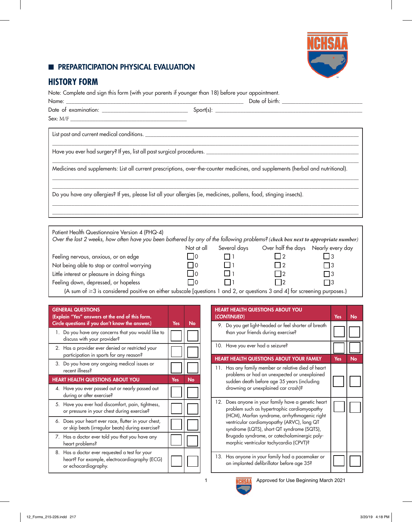### **EDIMPREPARTICIPATION PHYSICAL EVALUATION**



# **HISTORY FORM**

Note: Complete and sign this form (with your parents if younger than 18) before your appointment.

| $\textbf{Sex:} \ \textbf{M/F} \ \underline{\textcolor{blue}{\textbf{199}} \ \textcolor{blue}{\textbf{199}} \ \textcolor{blue}{\textbf{199}} \ \textcolor{blue}{\textbf{199}} \ \textcolor{blue}{\textbf{199}} \ \textcolor{blue}{\textbf{199}} \ \textcolor{blue}{\textbf{199}} \ \textcolor{blue}{\textbf{199}} \ \textcolor{blue}{\textbf{199}} \ \textcolor{blue}{\textbf{199}} \ \textcolor{blue}{\textbf{199}} \ \textcolor{blue}{\textbf{199}} \ \textcolor{blue}{\textbf{199}} \ \textcolor{blue}{\$ |          |          |                                                                                                                      |      |
|-------------------------------------------------------------------------------------------------------------------------------------------------------------------------------------------------------------------------------------------------------------------------------------------------------------------------------------------------------------------------------------------------------------------------------------------------------------------------------------------------------------|----------|----------|----------------------------------------------------------------------------------------------------------------------|------|
|                                                                                                                                                                                                                                                                                                                                                                                                                                                                                                             |          |          |                                                                                                                      |      |
|                                                                                                                                                                                                                                                                                                                                                                                                                                                                                                             |          |          |                                                                                                                      |      |
| Medicines and supplements: List all current prescriptions, over-the-counter medicines, and supplements (herbal and nutritional).                                                                                                                                                                                                                                                                                                                                                                            |          |          |                                                                                                                      |      |
| Do you have any allergies? If yes, please list all your allergies (ie, medicines, pollens, food, stinging insects).                                                                                                                                                                                                                                                                                                                                                                                         |          |          |                                                                                                                      |      |
|                                                                                                                                                                                                                                                                                                                                                                                                                                                                                                             |          |          | <u> 1989 - Jan James Barnett, mars and de la provincia de la provincia de la provincia de la provincia de la pro</u> |      |
| Patient Health Questionnaire Version 4 (PHQ-4)                                                                                                                                                                                                                                                                                                                                                                                                                                                              |          |          |                                                                                                                      |      |
| Over the last 2 weeks, how often have you been bothered by any of the following problems? (check box next to appropriate number)                                                                                                                                                                                                                                                                                                                                                                            |          |          |                                                                                                                      |      |
|                                                                                                                                                                                                                                                                                                                                                                                                                                                                                                             |          |          | Not at all Several days Over half the days Nearly every day                                                          |      |
| Feeling nervous, anxious, or on edge                                                                                                                                                                                                                                                                                                                                                                                                                                                                        | $\Box$ 0 | $\Box$ 1 | $\vert$   2                                                                                                          |      |
| Not being able to stop or control worrying                                                                                                                                                                                                                                                                                                                                                                                                                                                                  | $\Box$ 0 |          | $\Box$ 2                                                                                                             | l 13 |

Little interest or pleasure in doing things  $\Box$  0  $\Box$  1  $\Box$  2  $\Box$  3

Feeling down, depressed, or hopeless  $\Box$  0  $\Box$  1  $\Box$  2  $\Box$  3

(A sum of ≥3 is considered positive on either subscale [questions 1 and 2, or questions 3 and 4] for screening purposes.)

| <b>GENERAL QUESTIONS</b><br>(Explain "Yes" answers at the end of this form.<br>Circle questions if you don't know the answer.) | Yes | No        |
|--------------------------------------------------------------------------------------------------------------------------------|-----|-----------|
| 1. Do you have any concerns that you would like to<br>discuss with your provider?                                              |     |           |
| 2. Has a provider ever denied or restricted your<br>participation in sports for any reason?                                    |     |           |
| 3. Do you have any ongoing medical issues or<br>recent illness?                                                                |     |           |
| <b>HEART HEALTH QUESTIONS ABOUT YOU</b>                                                                                        | Yes | <b>No</b> |
| 4. Have you ever passed out or nearly passed out<br>during or after exercise?                                                  |     |           |
| 5. Have you ever had discomfort, pain, tightness,<br>or pressure in your chest during exercise?                                |     |           |
| 6. Does your heart ever race, flutter in your chest,<br>or skip beats (irregular beats) during exercise?                       |     |           |
| 7. Has a doctor ever told you that you have any<br>heart problems?                                                             |     |           |
| 8. Has a doctor ever requested a test for your<br>heart? For example, electrocardiography (ECG)<br>or echocardiography.        |     |           |

| <b>HEART HEALTH QUESTIONS ABOUT YOU</b><br>(CONTINUED)                                                                                                                                                                                                                                                                                    | <b>Yes</b> | No        |
|-------------------------------------------------------------------------------------------------------------------------------------------------------------------------------------------------------------------------------------------------------------------------------------------------------------------------------------------|------------|-----------|
| 9. Do you get light-headed or feel shorter of breath<br>than your friends during exercise?                                                                                                                                                                                                                                                |            |           |
| 10. Have you ever had a seizure?                                                                                                                                                                                                                                                                                                          |            |           |
| <b>HEART HEALTH QUESTIONS ABOUT YOUR FAMILY</b>                                                                                                                                                                                                                                                                                           | Yes        | <b>No</b> |
| 11. Has any family member or relative died of heart<br>problems or had an unexpected or unexplained<br>sudden death before age 35 years (including<br>drowning or unexplained car crash)?                                                                                                                                                 |            |           |
| 12. Does anyone in your family have a genetic heart<br>problem such as hypertrophic cardiomyopathy<br>(HCM), Marfan syndrome, arrhythmogenic right<br>ventricular cardiomyopathy (ARVC), long QT<br>syndrome (LQTS), short QT syndrome (SQTS),<br>Brugada syndrome, or catecholaminergic poly-<br>morphic ventricular tachycardia (CPVT)? |            |           |
| 13. Has anyone in your family had a pacemaker or<br>an implanted defibrillator before age 35?                                                                                                                                                                                                                                             |            |           |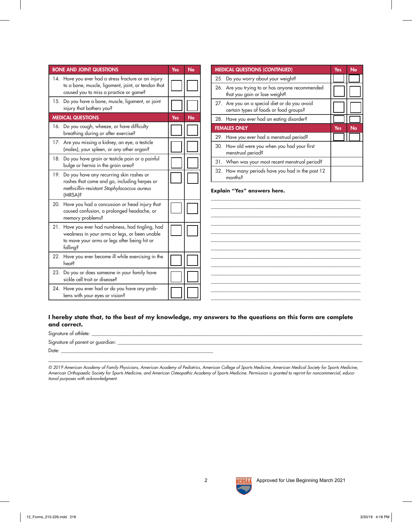| <b>BONE AND JOINT QUESTIONS</b>                                                                                                                                | Yes | No        | <b>MEDICAL QUESTIONS (CONTINUED)</b>                                                                                    | Yes        | No |
|----------------------------------------------------------------------------------------------------------------------------------------------------------------|-----|-----------|-------------------------------------------------------------------------------------------------------------------------|------------|----|
| 14. Have you ever had a stress fracture or an injury<br>to a bone, muscle, ligament, joint, or tendon that<br>caused you to miss a practice or game?           |     |           | 25. Do you worry about your weight?<br>26. Are you trying to or has anyone recommended<br>that you gain or lose weight? |            |    |
| 15. Do you have a bone, muscle, ligament, or joint<br>injury that bothers you?                                                                                 |     |           | 27. Are you on a special diet or do you avoid<br>certain types of foods or food groups?                                 |            |    |
| <b>MEDICAL QUESTIONS</b>                                                                                                                                       | Yes | <b>No</b> | 28. Have you ever had an eating disorder?                                                                               |            |    |
| 16. Do you cough, wheeze, or have difficulty<br>breathing during or after exercise?                                                                            |     |           | <b>FEMALES ONLY</b><br>29. Have you ever had a menstrual period?                                                        | <b>Yes</b> | No |
| 17. Are you missing a kidney, an eye, a testicle<br>(males), your spleen, or any other organ?                                                                  |     |           | 30. How old were you when you had your first<br>menstrual period?                                                       |            |    |
| 18. Do you have groin or testicle pain or a painful<br>bulge or hernia in the groin area?                                                                      |     |           | 31. When was your most recent menstrual period?                                                                         |            |    |
| 19. Do you have any recurring skin rashes or<br>rashes that come and go, including herpes or<br>methicillin-resistant Staphylococcus aureus<br>(MRSA)?         |     |           | 32. How many periods have you had in the past 12<br>months?<br>Explain "Yes" answers here.                              |            |    |
| 20. Have you had a concussion or head injury that<br>caused confusion, a prolonged headache, or<br>memory problems?                                            |     |           |                                                                                                                         |            |    |
| 21. Have you ever had numbness, had tingling, had<br>weakness in your arms or legs, or been unable<br>to move your arms or legs after being hit or<br>falling? |     |           |                                                                                                                         |            |    |
| 22. Have you ever become ill while exercising in the<br><b>heats</b>                                                                                           |     |           |                                                                                                                         |            |    |
| 23. Do you or does someone in your family have<br>sickle cell trait or disease?                                                                                |     |           |                                                                                                                         |            |    |
| 24. Have you ever had or do you have any prob-<br>lems with your eyes or vision?                                                                               |     |           |                                                                                                                         |            |    |

#### **I hereby state that, to the best of my knowledge, my answers to the questions on this form are complete and correct.**

| Signature of athlete: _            |  |
|------------------------------------|--|
| Signature of parent or guardian: _ |  |
| Date:                              |  |
|                                    |  |

*© 2019 American Academy of Family Physicians, American Academy of Pediatrics, American College of Sports Medicine, American Medical Society for Sports Medicine, American Orthopaedic Society for Sports Medicine, and American Osteopathic Academy of Sports Medicine. Permission is granted to reprint for noncommercial, educational purposes with acknowledgment.*

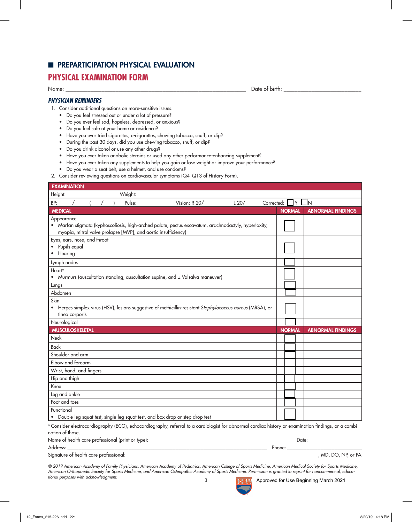#### **E** PREPARTICIPATION PHYSICAL EVALUATION

### **PHYSICAL EXAMINATION FORM**

Name: \_\_\_\_\_\_\_\_\_\_\_\_\_\_\_\_\_\_\_\_\_\_\_\_\_\_\_\_\_\_\_\_\_\_\_\_\_\_\_\_\_\_\_\_\_\_\_\_\_\_\_\_\_\_\_\_\_\_\_\_\_\_\_\_\_ Date of birth: \_\_\_\_\_\_\_\_\_\_\_\_\_\_\_\_\_\_\_\_\_\_\_\_\_\_\_\_

#### *PHYSICIAN REMINDERS*

- 1. Consider additional questions on more-sensitive issues.
	- Do you feel stressed out or under a lot of pressure?
	- Do you ever feel sad, hopeless, depressed, or anxious?
	- Do you feel safe at your home or residence?
	- Have you ever tried cigarettes, e-cigarettes, chewing tobacco, snuff, or dip?
	- During the past 30 days, did you use chewing tobacco, snuff, or dip?
	- Do you drink alcohol or use any other drugs?
	- Have you ever taken anabolic steroids or used any other performance-enhancing supplement?
	- Have you ever taken any supplements to help you gain or lose weight or improve your performance?
	- Do you wear a seat belt, use a helmet, and use condoms?
- 2. Consider reviewing questions on cardiovascular symptoms (Q4–Q13 of History Form).

| <b>EXAMINATION</b>           |         |                                                                                                                                                                 |      |            |               |               |                          |
|------------------------------|---------|-----------------------------------------------------------------------------------------------------------------------------------------------------------------|------|------------|---------------|---------------|--------------------------|
| Height:                      | Weight: |                                                                                                                                                                 |      |            |               |               |                          |
| BP:                          | Pulse:  | Vision: R 20/                                                                                                                                                   | L20/ | Corrected: |               | Y             | - In                     |
| <b>MEDICAL</b>               |         |                                                                                                                                                                 |      |            | <b>NORMAL</b> |               | <b>ABNORMAL FINDINGS</b> |
| Appearance                   |         |                                                                                                                                                                 |      |            |               |               |                          |
|                              |         | • Marfan stigmata (kyphoscoliosis, high-arched palate, pectus excavatum, arachnodactyly, hyperlaxity,                                                           |      |            |               |               |                          |
| Eyes, ears, nose, and throat |         | myopia, mitral valve prolapse [MVP], and aortic insufficiency)                                                                                                  |      |            |               |               |                          |
| Pupils equal                 |         |                                                                                                                                                                 |      |            |               |               |                          |
| • Hearing                    |         |                                                                                                                                                                 |      |            |               |               |                          |
| Lymph nodes                  |         |                                                                                                                                                                 |      |            |               |               |                          |
| Heart <sup>®</sup>           |         |                                                                                                                                                                 |      |            |               |               |                          |
|                              |         | Murmurs (auscultation standing, auscultation supine, and ± Valsalva maneuver)                                                                                   |      |            |               |               |                          |
| Lungs                        |         |                                                                                                                                                                 |      |            |               |               |                          |
| Abdomen                      |         |                                                                                                                                                                 |      |            |               |               |                          |
| Skin                         |         |                                                                                                                                                                 |      |            |               |               |                          |
| tinea corporis               |         | • Herpes simplex virus (HSV), lesions suggestive of methicillin-resistant Staphylococcus aureus (MRSA), or                                                      |      |            |               |               |                          |
| Neurological                 |         |                                                                                                                                                                 |      |            |               |               |                          |
| <b>MUSCULOSKELETAL</b>       |         |                                                                                                                                                                 |      |            |               | <b>NORMAL</b> | <b>ABNORMAL FINDINGS</b> |
| Neck                         |         |                                                                                                                                                                 |      |            |               |               |                          |
| <b>Back</b>                  |         |                                                                                                                                                                 |      |            |               |               |                          |
| Shoulder and arm             |         |                                                                                                                                                                 |      |            |               |               |                          |
| Elbow and forearm            |         |                                                                                                                                                                 |      |            |               |               |                          |
| Wrist, hand, and fingers     |         |                                                                                                                                                                 |      |            |               |               |                          |
| Hip and thigh                |         |                                                                                                                                                                 |      |            |               |               |                          |
| Knee                         |         |                                                                                                                                                                 |      |            |               |               |                          |
| Leg and ankle                |         |                                                                                                                                                                 |      |            |               |               |                          |
| Foot and toes                |         |                                                                                                                                                                 |      |            |               |               |                          |
|                              |         |                                                                                                                                                                 |      |            |               |               |                          |
| Functional                   |         |                                                                                                                                                                 |      |            |               |               |                          |
|                              |         | • Double-leg squat test, single-leg squat test, and box drop or step drop test                                                                                  |      |            |               |               |                          |
|                              |         | <sup>a</sup> Consider electrocardiography (ECG), echocardiography, referral to a cardiologist for abnormal cardiac history or examination findings, or a combi- |      |            |               |               |                          |
| nation of those.             |         |                                                                                                                                                                 |      |            |               |               |                          |
|                              |         |                                                                                                                                                                 |      |            |               |               |                          |
| Address:                     |         | <u> 1989 - Johann Stein, marwolaethau a bhann an t-Amhair an t-Amhair an t-Amhair an t-Amhair an t-Amhair an t-A</u>                                            |      |            |               |               | MD, DO, NP, or PA        |

*© 2019 American Academy of Family Physicians, American Academy of Pediatrics, American College of Sports Medicine, American Medical Society for Sports Medicine, American Orthopaedic Society for Sports Medicine, and American Osteopathic Academy of Sports Medicine. Permission is granted to reprint for noncommercial, educational purposes with acknowledgment.*



3 **Approved for Use Beginning March 2021**